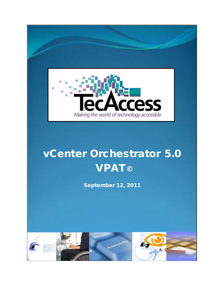

# vCenter Orchestrator 5.0 **VPAT**©

September 12, 2011

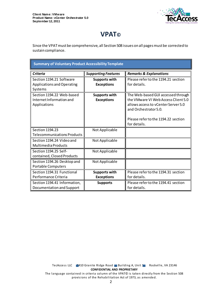

## **VPAT©**

Since the VPAT must be comprehensive, all Section 508 issues on all pages must be corrected to sustain compliance.

| <b>Summary of Voluntary Product Accessibility Template</b>            |                                           |                                                                                                                                           |  |
|-----------------------------------------------------------------------|-------------------------------------------|-------------------------------------------------------------------------------------------------------------------------------------------|--|
| <b>Criteria</b>                                                       | <b>Supporting Features</b>                | <b>Remarks &amp; Explanations</b>                                                                                                         |  |
| Section 1194.21 Software<br>Applications and Operating                | <b>Supports with</b><br><b>Exceptions</b> | Please refer to the 1194.21 section<br>for details.                                                                                       |  |
| Systems                                                               |                                           |                                                                                                                                           |  |
| Section 1194.22 Web-based<br>Internet Information and<br>Applications | <b>Supports with</b><br><b>Exceptions</b> | The Web-based GUI accessed through<br>the VMware VI Web Access Client 5.0<br>allows access to vCenter Server 5.0<br>and Orchestrator 5.0. |  |
|                                                                       |                                           | Please refer to the 1194.22 section<br>for details.                                                                                       |  |
| Section 1194.23<br><b>Telecommunications Products</b>                 | Not Applicable                            |                                                                                                                                           |  |
| Section 1194.24 Video and<br>Multimedia Products                      | Not Applicable                            |                                                                                                                                           |  |
| Section 1194.25 Self-<br>contained, Closed Products                   | Not Applicable                            |                                                                                                                                           |  |
| Section 1194.26 Desktop and<br><b>Portable Computers</b>              | Not Applicable                            |                                                                                                                                           |  |
| Section 1194.31 Functional<br>Performance Criteria                    | <b>Supports with</b><br><b>Exceptions</b> | Please refer to the 1194.31 section<br>for details.                                                                                       |  |
| Section 1194.41 Information,<br>Documentation and Support             | <b>Supports</b>                           | Please refer to the 1194.41 section<br>for details.                                                                                       |  |

TecAccess LLC 2410 Granite Ridge Road Building A, Unit 1 Rockville, VA 23146 **CONFIDENTIAL AND PROPRIETARY** The language contained in criteria column of the VPAT© is taken directly from the Section 508

provisions of the Rehabilitation Act of 1973, as amended.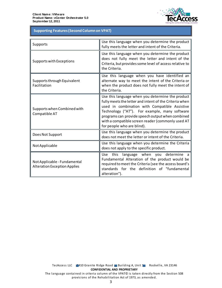

## **Table 1: Supporting Features (Second Column on VPAT) Supporting Features (Second Column on VPAT)**

| Supports                                                            | Use this language when you determine the product<br>fully meets the letter and intent of the Criteria.                                                                                                                                                                                                                                              |
|---------------------------------------------------------------------|-----------------------------------------------------------------------------------------------------------------------------------------------------------------------------------------------------------------------------------------------------------------------------------------------------------------------------------------------------|
| Supports with Exceptions                                            | Use this language when you determine the product<br>does not fully meet the letter and intent of the<br>Criteria, but provides some level of access relative to<br>the Criteria.                                                                                                                                                                    |
| Supports through Equivalent<br>Facilitation                         | Use this language when you have identified an<br>alternate way to meet the intent of the Criteria or<br>when the product does not fully meet the intent of<br>the Criteria.                                                                                                                                                                         |
| Supports when Combined with<br>Compatible AT                        | Use this language when you determine the product<br>fully meets the letter and intent of the Criteria when<br>used in combination with Compatible Assistive<br>Technology ("AT"). For example, many software<br>programs can provide speech output when combined<br>with a compatible screen reader (commonly used AT<br>for people who are blind). |
| Does Not Support                                                    | Use this language when you determine the product<br>does not meet the letter or intent of the Criteria.                                                                                                                                                                                                                                             |
| Not Applicable                                                      | Use this language when you determine the Criteria<br>does not apply to the specific product.                                                                                                                                                                                                                                                        |
| Not Applicable - Fundamental<br><b>Alteration Exception Applies</b> | language when you determine a<br>Use this<br>Fundamental Alteration of the product would be<br>required to meet the Criteria (see the access board's<br>standards for the definition of "fundamental<br>alteration").                                                                                                                               |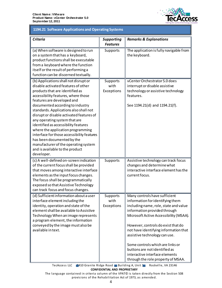

#### **1194.21 Software Applications and Operating Systems, continued 1194.21 Software Applications and Operating Systems**

| <b>Criteria</b>                                                                                                                                                                                                                                                                                                                                                                                                                                                                                                                                                                                   | <b>Supporting</b><br><b>Features</b> | <b>Remarks &amp; Explanations</b>                                                                                                                                                                                                                                                                                                                                                                                                                 |
|---------------------------------------------------------------------------------------------------------------------------------------------------------------------------------------------------------------------------------------------------------------------------------------------------------------------------------------------------------------------------------------------------------------------------------------------------------------------------------------------------------------------------------------------------------------------------------------------------|--------------------------------------|---------------------------------------------------------------------------------------------------------------------------------------------------------------------------------------------------------------------------------------------------------------------------------------------------------------------------------------------------------------------------------------------------------------------------------------------------|
| (a) When software is designed to run<br>on a system that has a keyboard,<br>product functions shall be executable<br>from a keyboard where the function<br>itself or the result of performing a<br>function can be discerned textually.                                                                                                                                                                                                                                                                                                                                                           | Supports                             | The application is fully navigable from<br>the keyboard.                                                                                                                                                                                                                                                                                                                                                                                          |
| (b) Applications shall not disrupt or<br>disable activated features of other<br>products that are identified as<br>accessibility features, where those<br>features are developed and<br>documented according to industry<br>standards. Applications also shall not<br>disrupt or disable activated features of<br>any operating system that are<br>identified as accessibility features<br>where the application programming<br>interface for those accessibility features<br>has been documented by the<br>manufacturer of the operating system<br>and is available to the product<br>developer. | Supports<br>with<br>Exceptions       | vCenter Orchestrator 5.0 does<br>interrupt or disable assistive<br>technology or assistive technology<br>features.<br>See 1194.21(d) and 1194.21(f).                                                                                                                                                                                                                                                                                              |
| (c) A well-defined on-screen indication<br>of the current focus shall be provided<br>that moves among interactive interface<br>elements as the input focus changes.<br>The focus shall be programmatically<br>exposed so that Assistive Technology<br>can track focus and focus changes.                                                                                                                                                                                                                                                                                                          | Supports                             | Assistive technology can track focus<br>changes and determine what<br>interactive interface element has the<br>current focus.                                                                                                                                                                                                                                                                                                                     |
| (d) Sufficient information about a user<br>interface element including the<br>identity, operation and state of the<br>element shall be available to Assistive<br>Technology When an image represents<br>a program element, the information<br>conveyed by the image must also be<br>available in text.                                                                                                                                                                                                                                                                                            | Supports<br>with<br>Exceptions       | Many controls have sufficient<br>information for identifying them<br>including name, role, state and value<br>information provided through<br>Microsoft Active Accessibility (MSAA).<br>However, controls do exist that do<br>not have identifying information that<br>assistive technology can use.<br>Some controls which are links or<br>buttons are not identified as<br>interactive interface elements<br>through the role property of MSAA. |

TecAccess LLC 2410 Granite Ridge Road Building A, Unit 1 Rockville, VA 23146 **CONFIDENTIAL AND PROPRIETARY**

The language contained in criteria column of the VPAT© is taken directly from the Section 508 provisions of the Rehabilitation Act of 1973, as amended.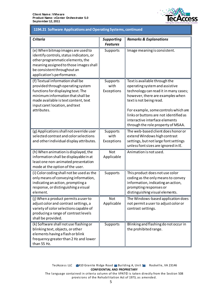

#### 1194.21 Software Applications and Operating Systems, continued **1194.21 Software Applications and Operating Systems, continued**

| <b>Criteria</b>                                                                                                                                                                                                                           | <b>Supporting</b><br><b>Features</b> | <b>Remarks &amp; Explanations</b>                                                                                                                                                                                                                                                                                                 |
|-------------------------------------------------------------------------------------------------------------------------------------------------------------------------------------------------------------------------------------------|--------------------------------------|-----------------------------------------------------------------------------------------------------------------------------------------------------------------------------------------------------------------------------------------------------------------------------------------------------------------------------------|
| (e) When bitmap images are used to<br>identify controls, status indicators, or<br>other programmatic elements, the<br>meaning assigned to those images shall<br>be consistent throughout an<br>application's performance.                 | Supports                             | Image meaning is consistent.                                                                                                                                                                                                                                                                                                      |
| (f) Textual information shall be<br>provided through operating system<br>functions for displaying text. The<br>minimum information that shall be<br>made available is text content, text<br>input caret location, and text<br>attributes. | Supports<br>with<br>Exceptions       | Text is available through the<br>operating system and assistive<br>technology can read it in many cases;<br>however, there are examples when<br>text is not being read.<br>For example, some controls which are<br>links or buttons are not identified as<br>interactive interface elements<br>through the role property of MSAA. |
| (g) Applications shall not override user<br>selected contrast and color selections<br>and other individual display attributes.                                                                                                            | Supports<br>with<br>Exceptions       | The web-based client does honor or<br>extend Windows high contrast<br>settings, but not large font settings<br>unless font sizes are ignored in IE.                                                                                                                                                                               |
| (h) When animation is displayed, the<br>information shall be displayable in at<br>least one non-animated presentation<br>mode at the option of the user.                                                                                  | <b>Not</b><br>Applicable             | Animation is not used.                                                                                                                                                                                                                                                                                                            |
| (i) Color coding shall not be used as the<br>only means of conveying information,<br>indicating an action, prompting a<br>response, or distinguishing a visual<br>element.                                                                | Supports                             | This product does not use color<br>coding as the only means to convey<br>information, indicating an action,<br>prompting responses or<br>distinguishing visual elements.                                                                                                                                                          |
| (i) When a product permits a user to<br>adjust color and contrast settings, a<br>variety of color selections capable of<br>producing a range of contrast levels<br>shall be provided.                                                     | Not<br>Applicable                    | The Windows-based application does<br>not permit a user to adjust color or<br>contrast settings.                                                                                                                                                                                                                                  |
| (k) Software shall not use flashing or<br>blinking text, objects, or other<br>elements having a flash or blink<br>frequency greater than 2 Hz and lower<br>than 55 Hz.                                                                    | Supports                             | Blinking and flashing do not occur in<br>the prohibited range.                                                                                                                                                                                                                                                                    |

provisions of the Rehabilitation Act of 1973, as amended.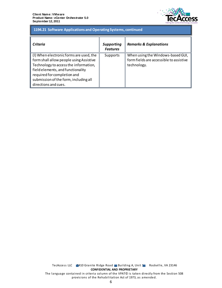

#### 1194.21 Software Applications and Operating Systems, continued **1194.21 Software Applications and Operating Systems, continued**

| Criteria                                                                                                                                                                   | <b>Supporting</b><br><b>Features</b> | <b>Remarks &amp; Explanations</b>                                            |
|----------------------------------------------------------------------------------------------------------------------------------------------------------------------------|--------------------------------------|------------------------------------------------------------------------------|
| (I) When electronic forms are used, the<br>form shall allow people using Assistive                                                                                         | Supports                             | When using the Windows-based GUI,<br>form fields are accessible to assistive |
| Technology to access the information,<br>field elements, and functionality<br>required for completion and<br>submission of the form, including all<br>directions and cues. |                                      | technology.                                                                  |

TecAccess LLC 2410 Granite Ridge Road Building A, Unit 1 Rockville, VA 23146 **CONFIDENTIAL AND PROPRIETARY** The language contained in criteria column of the VPAT© is taken directly from the Section 508 provisions of the Rehabilitation Act of 1973, as amended.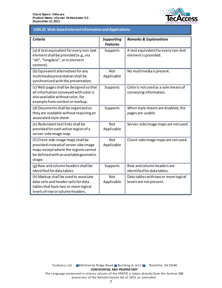

#### 1194.22 Web-based Internet Information and Applications **1194.22 Web-based Internet Information and Applications**

| <b>Criteria</b>                                                                                                                                                          | <b>Supporting</b><br><b>Features</b> | <b>Remarks &amp; Explanations</b>                               |
|--------------------------------------------------------------------------------------------------------------------------------------------------------------------------|--------------------------------------|-----------------------------------------------------------------|
| (a) A text equivalent for every non-text<br>element shall be provided (e.g., via<br>"alt", "longdesc", or in element<br>content).                                        | Supports                             | A text equivalent for every non-text<br>element is provided.    |
| (b) Equivalent alternatives for any<br>multimedia presentation shall be<br>synchronized with the presentation.                                                           | <b>Not</b><br>Applicable             | No multimedia is present.                                       |
| (c) Web pages shall be designed so that<br>all information conveyed with color is<br>also available without color, for<br>example from context or markup.                | Supports                             | Color is not used as a sole means of<br>conveying information.  |
| (d) Documents shall be organized so<br>they are readable without requiring an<br>associated style sheet.                                                                 | Supports                             | When style sheets are disabled, the<br>pages are usable.        |
| (e) Redundant text links shall be<br>provided for each active region of a<br>server-side image map.                                                                      | <b>Not</b><br>Applicable             | Server-side image maps are not used.                            |
| (f) Client-side image maps shall be<br>provided instead of server-side image<br>maps except where the regions cannot<br>be defined with an available geometric<br>shape. | <b>Not</b><br>Applicable             | Client-side image maps are not used.                            |
| (g) Row and column headers shall be<br>identified for data tables.                                                                                                       | Supports                             | Row and column headers are<br>identified for data tables.       |
| (h) Markup shall be used to associate<br>data cells and header cells for data<br>tables that have two or more logical<br>levels of row or column headers.                | <b>Not</b><br>Applicable             | Data tables with two or more logical<br>levels are not present. |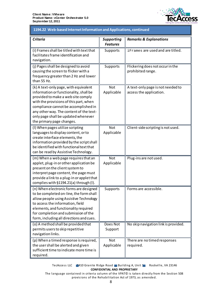

#### 1194.22 Web-based Internet Information and Applications, continued **1194.22 Web-based Internet Information and Applications, continued**

| <b>Criteria</b>                                                                                                                                                                                                                                                                                                        | <b>Supporting</b><br><b>Features</b> | <b>Remarks &amp; Explanations</b>                            |
|------------------------------------------------------------------------------------------------------------------------------------------------------------------------------------------------------------------------------------------------------------------------------------------------------------------------|--------------------------------------|--------------------------------------------------------------|
| (i) Frames shall be titled with text that<br>facilitates frame identification and<br>navigation.                                                                                                                                                                                                                       | Supports                             | iFrames are used and are titled.                             |
| (j) Pages shall be designed to avoid<br>causing the screen to flicker with a<br>frequency greater than 2 Hz and lower<br>than 55 Hz.                                                                                                                                                                                   | Supports                             | Flickering does not occur in the<br>prohibited range.        |
| (k) A text-only page, with equivalent<br>information or functionality, shall be<br>provided to make a web site comply<br>with the provisions of this part, when<br>compliance cannot be accomplished in<br>any other way. The content of the text-<br>only page shall be updated whenever<br>the primary page changes. | <b>Not</b><br>Applicable             | A text-only page is not needed to<br>access the application. |
| (I) When pages utilize scripting<br>languages to display content, or to<br>create interface elements, the<br>information provided by the script shall<br>be identified with functional text that<br>can be read by Assistive Technology.                                                                               | <b>Not</b><br>Applicable             | Client-side scripting is not used.                           |
| (m) When a web page requires that an<br>applet, plug-in or other application be<br>present on the client system to<br>interpret page content, the page must<br>provide a link to a plug-in or applet that<br>complies with §1194.21(a) through (I).                                                                    | <b>Not</b><br>Applicable             | Plug-ins are not used.                                       |
| (n) When electronic forms are designed<br>to be completed on-line, the form shall<br>allow people using Assistive Technology<br>to access the information, field<br>elements, and functionality required<br>for completion and submission of the<br>form, including all directions and cues.                           | Supports                             | Forms are accessible.                                        |
| (o) A method shall be provided that<br>permits users to skip repetitive<br>navigation links.                                                                                                                                                                                                                           | Does Not<br>Support                  | No skip navigation link is provided.                         |
| (p) When a timed response is required,<br>the user shall be alerted and given<br>sufficient time to indicate more time is<br>required.                                                                                                                                                                                 | <b>Not</b><br>Applicable             | There are no timed responses<br>required.                    |

TecAccess LLC 2410 Granite Ridge Road Building A, Unit 1 Rockville, VA 23146 **CONFIDENTIAL AND PROPRIETARY**

The language contained in criteria column of the VPAT© is taken directly from the Section 508 provisions of the Rehabilitation Act of 1973, as amended.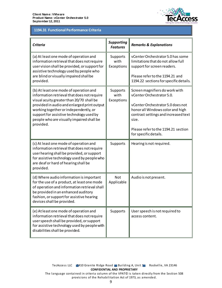

#### **1194.31 Functional Performance Criteria 1194.31 Functional Performance Criteria**

| <b>Criteria</b>                                                                                                                                                                                                                                           | <b>Supporting</b><br><b>Features</b> | <b>Remarks &amp; Explanations</b>                                                                                      |
|-----------------------------------------------------------------------------------------------------------------------------------------------------------------------------------------------------------------------------------------------------------|--------------------------------------|------------------------------------------------------------------------------------------------------------------------|
| (a) At least one mode of operation and<br>information retrieval that does not require<br>user vision shall be provided, or support for<br>assistive technology used by people who                                                                         | Supports<br>with<br>Exceptions       | vCenter Orchestrator 5.0 has some<br>limitations that do not allow full<br>support for screen readers.                 |
| are blind or visually impaired shall be<br>provided.                                                                                                                                                                                                      |                                      | Please refer to the 1194.21 and<br>1194.22 sections for specific details.                                              |
| (b) At least one mode of operation and<br>information retrieval that does not require<br>visual acuity greater than 20/70 shall be                                                                                                                        | Supports<br>with<br>Exceptions       | Screen magnifiers do work with<br>vCenter Orchestrator 5.0.                                                            |
| provided in audio and enlarged print output<br>working together or independently, or<br>support for assistive technology used by<br>people who are visually impaired shall be<br>provided.                                                                |                                      | vCenter Orchestrator 5.0 does not<br>honor all Windows color and high<br>contrast settings and increased text<br>size. |
|                                                                                                                                                                                                                                                           |                                      | Please refer to the 1194.21 section<br>for specific details.                                                           |
| (c) At least one mode of operation and<br>information retrieval that does not require<br>user hearing shall be provided, or support<br>for assistive technology used by people who<br>are deaf or hard of hearing shall be<br>provided.                   | Supports                             | Hearing is not required.                                                                                               |
| (d) Where audio information is important<br>for the use of a product, at least one mode<br>of operation and information retrieval shall<br>be provided in an enhanced auditory<br>fashion, or support for assistive hearing<br>devices shall be provided. | Not<br>Applicable                    | Audio is not present.                                                                                                  |
| (e) At least one mode of operation and<br>information retrieval that does not require<br>user speech shall be provided, or support<br>for assistive technology used by people with<br>disabilities shall be provided.                                     | <b>Supports</b>                      | User speech is not required to<br>access content.                                                                      |

provisions of the Rehabilitation Act of 1973, as amended.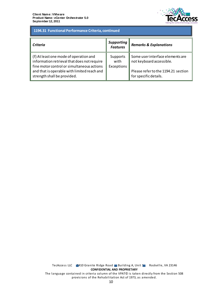

### 1194.31 Functional Performance Criteria, continued **1194.31 Functional Performance Criteria, continued**

| <b>Criteria</b>                                                                                                                                                                    | <b>Supporting</b><br><b>Features</b> | <b>Remarks &amp; Explanations</b>                                                                   |
|------------------------------------------------------------------------------------------------------------------------------------------------------------------------------------|--------------------------------------|-----------------------------------------------------------------------------------------------------|
| (f) At least one mode of operation and<br>information retrieval that does not require<br>fine motor control or simultaneous actions<br>and that is operable with limited reach and | Supports<br>with<br>Exceptions       | Some user interface elements are<br>not keyboard accessible.<br>Please refer to the 1194.21 section |
| strength shall be provided.                                                                                                                                                        |                                      | for specific details.                                                                               |